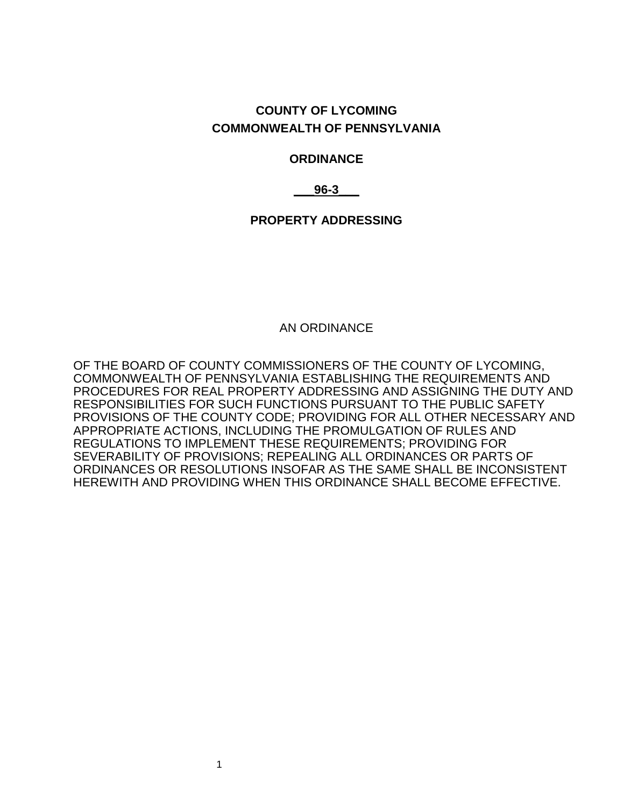### **COUNTY OF LYCOMING COMMONWEALTH OF PENNSYLVANIA**

#### **ORDINANCE**

**\_\_\_96-3\_\_\_**

**PROPERTY ADDRESSING**

AN ORDINANCE

OF THE BOARD OF COUNTY COMMISSIONERS OF THE COUNTY OF LYCOMING, COMMONWEALTH OF PENNSYLVANIA ESTABLISHING THE REQUIREMENTS AND PROCEDURES FOR REAL PROPERTY ADDRESSING AND ASSIGNING THE DUTY AND RESPONSIBILITIES FOR SUCH FUNCTIONS PURSUANT TO THE PUBLIC SAFETY PROVISIONS OF THE COUNTY CODE; PROVIDING FOR ALL OTHER NECESSARY AND APPROPRIATE ACTIONS, INCLUDING THE PROMULGATION OF RULES AND REGULATIONS TO IMPLEMENT THESE REQUIREMENTS; PROVIDING FOR SEVERABILITY OF PROVISIONS; REPEALING ALL ORDINANCES OR PARTS OF ORDINANCES OR RESOLUTIONS INSOFAR AS THE SAME SHALL BE INCONSISTENT HEREWITH AND PROVIDING WHEN THIS ORDINANCE SHALL BECOME EFFECTIVE.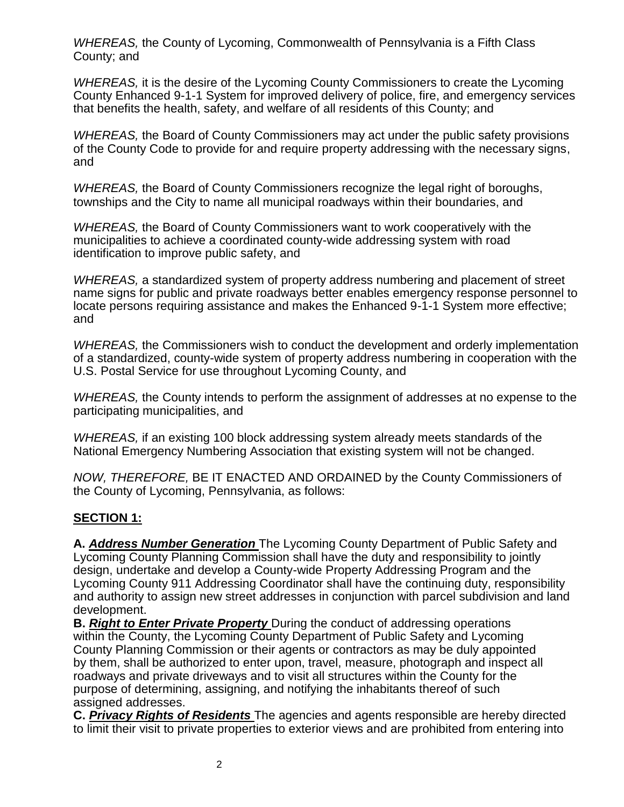*WHEREAS,* the County of Lycoming, Commonwealth of Pennsylvania is a Fifth Class County; and

*WHEREAS,* it is the desire of the Lycoming County Commissioners to create the Lycoming County Enhanced 9-1-1 System for improved delivery of police, fire, and emergency services that benefits the health, safety, and welfare of all residents of this County; and

*WHEREAS,* the Board of County Commissioners may act under the public safety provisions of the County Code to provide for and require property addressing with the necessary signs, and

*WHEREAS,* the Board of County Commissioners recognize the legal right of boroughs, townships and the City to name all municipal roadways within their boundaries, and

*WHEREAS,* the Board of County Commissioners want to work cooperatively with the municipalities to achieve a coordinated county-wide addressing system with road identification to improve public safety, and

*WHEREAS,* a standardized system of property address numbering and placement of street name signs for public and private roadways better enables emergency response personnel to locate persons requiring assistance and makes the Enhanced 9-1-1 System more effective; and

*WHEREAS,* the Commissioners wish to conduct the development and orderly implementation of a standardized, county-wide system of property address numbering in cooperation with the U.S. Postal Service for use throughout Lycoming County, and

*WHEREAS,* the County intends to perform the assignment of addresses at no expense to the participating municipalities, and

*WHEREAS,* if an existing 100 block addressing system already meets standards of the National Emergency Numbering Association that existing system will not be changed.

*NOW, THEREFORE,* BE IT ENACTED AND ORDAINED by the County Commissioners of the County of Lycoming, Pennsylvania, as follows:

### **SECTION 1:**

**A.** *Address Number Generation* The Lycoming County Department of Public Safety and Lycoming County Planning Commission shall have the duty and responsibility to jointly design, undertake and develop a County-wide Property Addressing Program and the Lycoming County 911 Addressing Coordinator shall have the continuing duty, responsibility and authority to assign new street addresses in conjunction with parcel subdivision and land development.

**B.** *Right to Enter Private Property* During the conduct of addressing operations within the County, the Lycoming County Department of Public Safety and Lycoming County Planning Commission or their agents or contractors as may be duly appointed by them, shall be authorized to enter upon, travel, measure, photograph and inspect all roadways and private driveways and to visit all structures within the County for the purpose of determining, assigning, and notifying the inhabitants thereof of such assigned addresses.

**C.** *Privacy Rights of Residents* The agencies and agents responsible are hereby directed to limit their visit to private properties to exterior views and are prohibited from entering into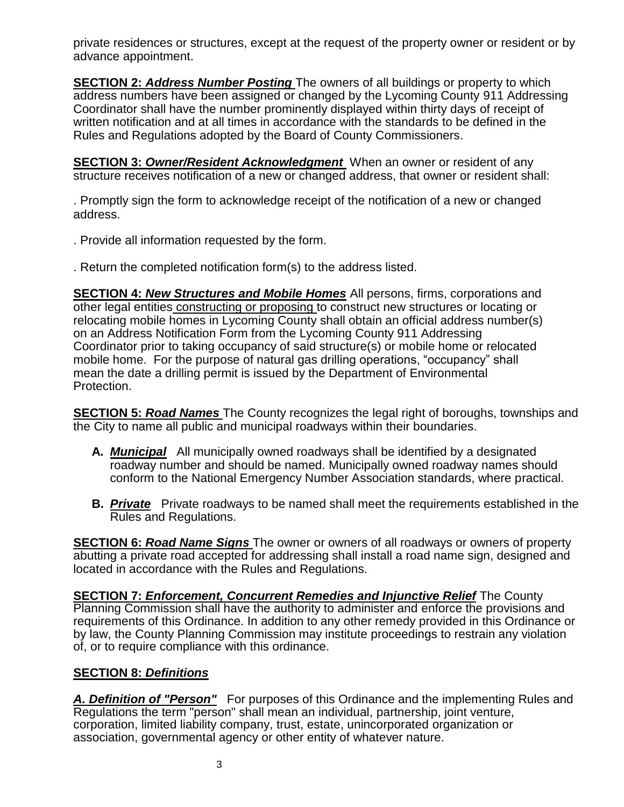private residences or structures, except at the request of the property owner or resident or by advance appointment.

**SECTION 2:** *Address Number Posting* The owners of all buildings or property to which address numbers have been assigned or changed by the Lycoming County 911 Addressing Coordinator shall have the number prominently displayed within thirty days of receipt of written notification and at all times in accordance with the standards to be defined in the Rules and Regulations adopted by the Board of County Commissioners.

**SECTION 3: Owner/Resident Acknowledgment** When an owner or resident of any structure receives notification of a new or changed address, that owner or resident shall:

. Promptly sign the form to acknowledge receipt of the notification of a new or changed address.

- . Provide all information requested by the form.
- . Return the completed notification form(s) to the address listed.

**SECTION 4:** *New Structures and Mobile Homes* All persons, firms, corporations and other legal entities constructing or proposing to construct new structures or locating or relocating mobile homes in Lycoming County shall obtain an official address number(s) on an Address Notification Form from the Lycoming County 911 Addressing Coordinator prior to taking occupancy of said structure(s) or mobile home or relocated mobile home. For the purpose of natural gas drilling operations, "occupancy" shall mean the date a drilling permit is issued by the Department of Environmental Protection.

**SECTION 5:** *Road Names* The County recognizes the legal right of boroughs, townships and the City to name all public and municipal roadways within their boundaries.

- **A.** *Municipal* All municipally owned roadways shall be identified by a designated roadway number and should be named. Municipally owned roadway names should conform to the National Emergency Number Association standards, where practical.
- **B.** *Private* Private roadways to be named shall meet the requirements established in the Rules and Regulations.

**SECTION 6:** *Road Name Signs* The owner or owners of all roadways or owners of property abutting a private road accepted for addressing shall install a road name sign, designed and located in accordance with the Rules and Regulations.

**SECTION 7:** *Enforcement, Concurrent Remedies and Injunctive Relief* The County Planning Commission shall have the authority to administer and enforce the provisions and requirements of this Ordinance. In addition to any other remedy provided in this Ordinance or by law, the County Planning Commission may institute proceedings to restrain any violation of, or to require compliance with this ordinance.

### **SECTION 8:** *Definitions*

*A. Definition of "Person"* For purposes of this Ordinance and the implementing Rules and Regulations the term "person" shall mean an individual, partnership, joint venture, corporation, limited liability company, trust, estate, unincorporated organization or association, governmental agency or other entity of whatever nature.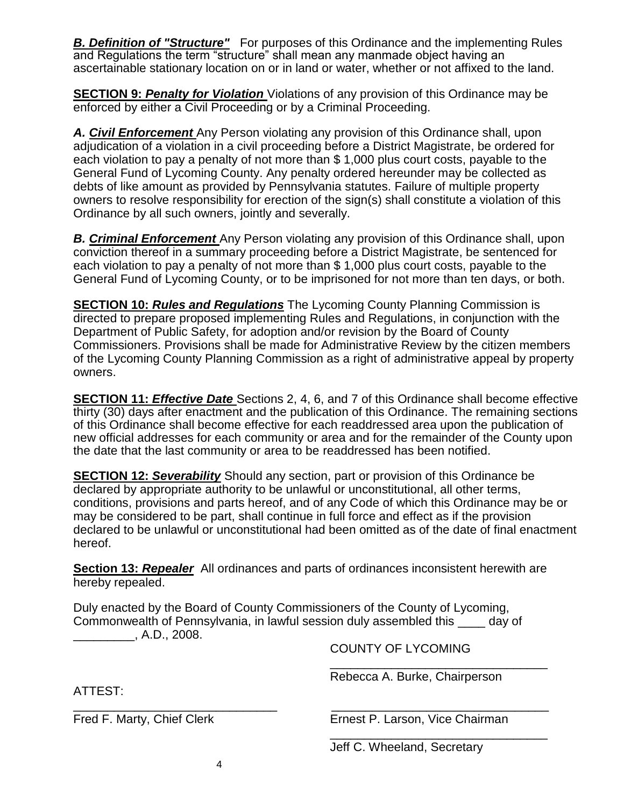**B. Definition of "Structure"** For purposes of this Ordinance and the implementing Rules and Regulations the term "structure" shall mean any manmade object having an ascertainable stationary location on or in land or water, whether or not affixed to the land.

**SECTION 9:** *Penalty for Violation* Violations of any provision of this Ordinance may be enforced by either a Civil Proceeding or by a Criminal Proceeding.

*A. Civil Enforcement* Any Person violating any provision of this Ordinance shall, upon adjudication of a violation in a civil proceeding before a District Magistrate, be ordered for each violation to pay a penalty of not more than \$ 1,000 plus court costs, payable to the General Fund of Lycoming County. Any penalty ordered hereunder may be collected as debts of like amount as provided by Pennsylvania statutes. Failure of multiple property owners to resolve responsibility for erection of the sign(s) shall constitute a violation of this Ordinance by all such owners, jointly and severally.

*B. Criminal Enforcement* Any Person violating any provision of this Ordinance shall, upon conviction thereof in a summary proceeding before a District Magistrate, be sentenced for each violation to pay a penalty of not more than \$ 1,000 plus court costs, payable to the General Fund of Lycoming County, or to be imprisoned for not more than ten days, or both.

**SECTION 10:** *Rules and Regulations* The Lycoming County Planning Commission is directed to prepare proposed implementing Rules and Regulations, in conjunction with the Department of Public Safety, for adoption and/or revision by the Board of County Commissioners. Provisions shall be made for Administrative Review by the citizen members of the Lycoming County Planning Commission as a right of administrative appeal by property owners.

**SECTION 11:** *Effective Date* Sections 2, 4, 6, and 7 of this Ordinance shall become effective thirty (30) days after enactment and the publication of this Ordinance. The remaining sections of this Ordinance shall become effective for each readdressed area upon the publication of new official addresses for each community or area and for the remainder of the County upon the date that the last community or area to be readdressed has been notified.

**SECTION 12:** *Severability* Should any section, part or provision of this Ordinance be declared by appropriate authority to be unlawful or unconstitutional, all other terms, conditions, provisions and parts hereof, and of any Code of which this Ordinance may be or may be considered to be part, shall continue in full force and effect as if the provision declared to be unlawful or unconstitutional had been omitted as of the date of final enactment hereof.

**Section 13:** *Repealer* All ordinances and parts of ordinances inconsistent herewith are hereby repealed.

Duly enacted by the Board of County Commissioners of the County of Lycoming, Commonwealth of Pennsylvania, in lawful session duly assembled this \_\_\_\_ day of  $A.D., 2008.$ 

COUNTY OF LYCOMING

Rebecca A. Burke, Chairperson

\_\_\_\_\_\_\_\_\_\_\_\_\_\_\_\_\_\_\_\_\_\_\_\_\_\_\_\_\_\_\_\_

\_\_\_\_\_\_\_\_\_\_\_\_\_\_\_\_\_\_\_\_\_\_\_\_\_\_\_\_\_\_\_\_

ATTEST:

\_\_\_\_\_\_\_\_\_\_\_\_\_\_\_\_\_\_\_\_\_\_\_\_\_\_\_\_\_\_ \_\_\_\_\_\_\_\_\_\_\_\_\_\_\_\_\_\_\_\_\_\_\_\_\_\_\_\_\_\_\_\_

Fred F. Marty, Chief Clerk **Ernest P. Larson, Vice Chairman** 

Jeff C. Wheeland, Secretary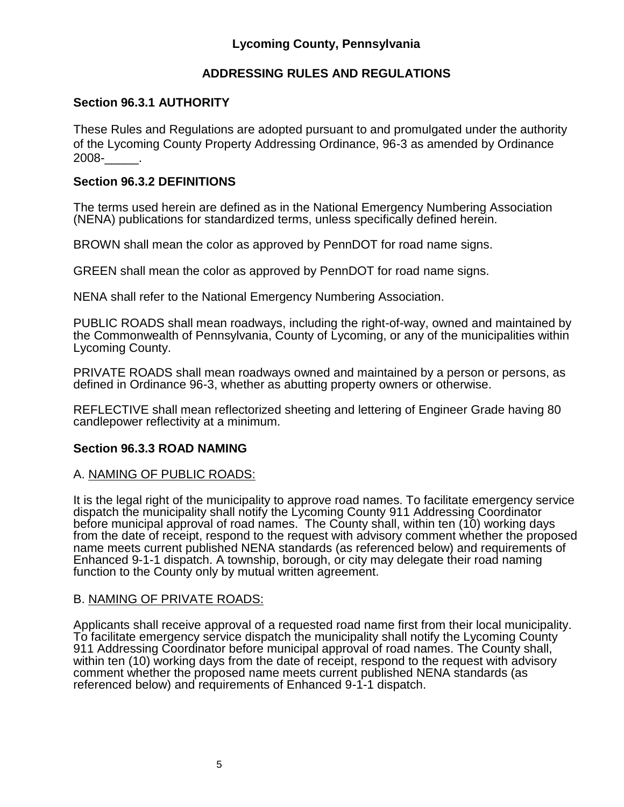# **Lycoming County, Pennsylvania**

# **ADDRESSING RULES AND REGULATIONS**

### **Section 96.3.1 AUTHORITY**

These Rules and Regulations are adopted pursuant to and promulgated under the authority of the Lycoming County Property Addressing Ordinance, 96-3 as amended by Ordinance 2008-\_\_\_\_\_.

### **Section 96.3.2 DEFINITIONS**

The terms used herein are defined as in the National Emergency Numbering Association (NENA) publications for standardized terms, unless specifically defined herein.

BROWN shall mean the color as approved by PennDOT for road name signs.

GREEN shall mean the color as approved by PennDOT for road name signs.

NENA shall refer to the National Emergency Numbering Association.

PUBLIC ROADS shall mean roadways, including the right-of-way, owned and maintained by the Commonwealth of Pennsylvania, County of Lycoming, or any of the municipalities within Lycoming County.

PRIVATE ROADS shall mean roadways owned and maintained by a person or persons, as defined in Ordinance 96-3, whether as abutting property owners or otherwise.

REFLECTIVE shall mean reflectorized sheeting and lettering of Engineer Grade having 80 candlepower reflectivity at a minimum.

### **Section 96.3.3 ROAD NAMING**

### A. NAMING OF PUBLIC ROADS:

It is the legal right of the municipality to approve road names. To facilitate emergency service dispatch the municipality shall notify the Lycoming County 911 Addressing Coordinator before municipal approval of road names. The County shall, within ten (10) working days from the date of receipt, respond to the request with advisory comment whether the proposed name meets current published NENA standards (as referenced below) and requirements of Enhanced 9-1-1 dispatch. A township, borough, or city may delegate their road naming function to the County only by mutual written agreement.

### B. NAMING OF PRIVATE ROADS:

Applicants shall receive approval of a requested road name first from their local municipality. To facilitate emergency service dispatch the municipality shall notify the Lycoming County 911 Addressing Coordinator before municipal approval of road names. The County shall, within ten (10) working days from the date of receipt, respond to the request with advisory comment whether the proposed name meets current published NENA standards (as referenced below) and requirements of Enhanced 9-1-1 dispatch.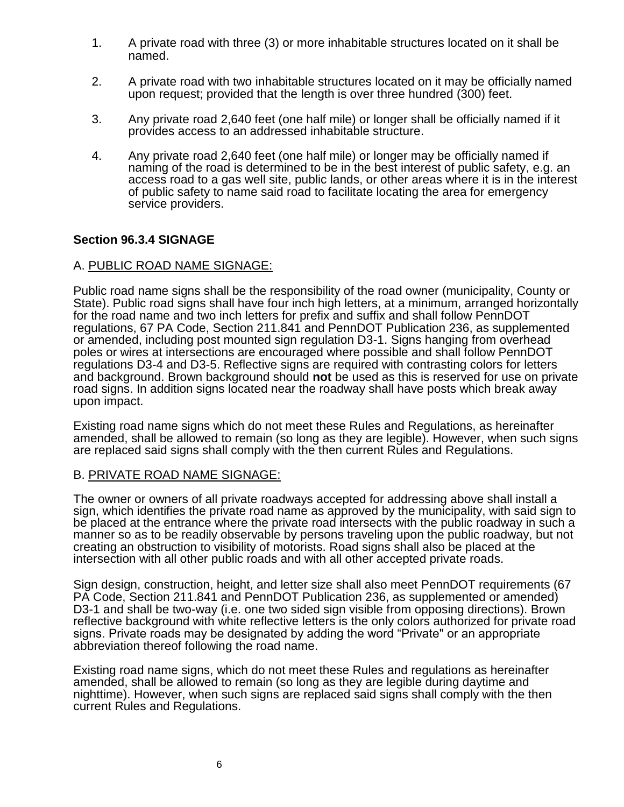- 1. A private road with three (3) or more inhabitable structures located on it shall be named.
- 2. A private road with two inhabitable structures located on it may be officially named upon request; provided that the length is over three hundred (300) feet.
- 3. Any private road 2,640 feet (one half mile) or longer shall be officially named if it provides access to an addressed inhabitable structure.
- 4. Any private road 2,640 feet (one half mile) or longer may be officially named if naming of the road is determined to be in the best interest of public safety, e.g. an access road to a gas well site, public lands, or other areas where it is in the interest of public safety to name said road to facilitate locating the area for emergency service providers.

### **Section 96.3.4 SIGNAGE**

### A. PUBLIC ROAD NAME SIGNAGE:

Public road name signs shall be the responsibility of the road owner (municipality, County or State). Public road signs shall have four inch high letters, at a minimum, arranged horizontally for the road name and two inch letters for prefix and suffix and shall follow PennDOT regulations, 67 PA Code, Section 211.841 and PennDOT Publication 236, as supplemented or amended, including post mounted sign regulation D3-1. Signs hanging from overhead poles or wires at intersections are encouraged where possible and shall follow PennDOT regulations D3-4 and D3-5. Reflective signs are required with contrasting colors for letters and background. Brown background should **not** be used as this is reserved for use on private road signs. In addition signs located near the roadway shall have posts which break away upon impact.

Existing road name signs which do not meet these Rules and Regulations, as hereinafter amended, shall be allowed to remain (so long as they are legible). However, when such signs are replaced said signs shall comply with the then current Rules and Regulations.

### B. PRIVATE ROAD NAME SIGNAGE:

The owner or owners of all private roadways accepted for addressing above shall install a sign, which identifies the private road name as approved by the municipality, with said sign to be placed at the entrance where the private road intersects with the public roadway in such a manner so as to be readily observable by persons traveling upon the public roadway, but not creating an obstruction to visibility of motorists. Road signs shall also be placed at the intersection with all other public roads and with all other accepted private roads.

Sign design, construction, height, and letter size shall also meet PennDOT requirements (67 PA Code, Section 211.841 and PennDOT Publication 236, as supplemented or amended) D3-1 and shall be two-way (i.e. one two sided sign visible from opposing directions). Brown reflective background with white reflective letters is the only colors authorized for private road signs. Private roads may be designated by adding the word "Private" or an appropriate abbreviation thereof following the road name.

Existing road name signs, which do not meet these Rules and regulations as hereinafter amended, shall be allowed to remain (so long as they are legible during daytime and nighttime). However, when such signs are replaced said signs shall comply with the then current Rules and Regulations.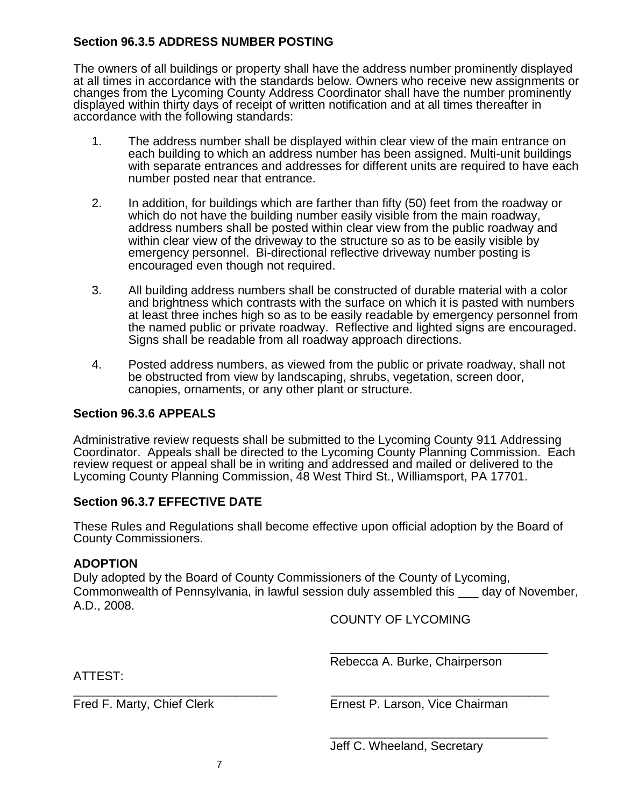## **Section 96.3.5 ADDRESS NUMBER POSTING**

The owners of all buildings or property shall have the address number prominently displayed at all times in accordance with the standards below. Owners who receive new assignments or changes from the Lycoming County Address Coordinator shall have the number prominently displayed within thirty days of receipt of written notification and at all times thereafter in accordance with the following standards:

- 1. The address number shall be displayed within clear view of the main entrance on each building to which an address number has been assigned. Multi-unit buildings with separate entrances and addresses for different units are required to have each number posted near that entrance.
- 2. In addition, for buildings which are farther than fifty (50) feet from the roadway or which do not have the building number easily visible from the main roadway, address numbers shall be posted within clear view from the public roadway and within clear view of the driveway to the structure so as to be easily visible by emergency personnel. Bi-directional reflective driveway number posting is encouraged even though not required.
- 3. All building address numbers shall be constructed of durable material with a color and brightness which contrasts with the surface on which it is pasted with numbers at least three inches high so as to be easily readable by emergency personnel from the named public or private roadway. Reflective and lighted signs are encouraged. Signs shall be readable from all roadway approach directions.
- 4. Posted address numbers, as viewed from the public or private roadway, shall not be obstructed from view by landscaping, shrubs, vegetation, screen door, canopies, ornaments, or any other plant or structure.

### **Section 96.3.6 APPEALS**

Administrative review requests shall be submitted to the Lycoming County 911 Addressing Coordinator. Appeals shall be directed to the Lycoming County Planning Commission. Each review request or appeal shall be in writing and addressed and mailed or delivered to the Lycoming County Planning Commission, 48 West Third St., Williamsport, PA 17701.

### **Section 96.3.7 EFFECTIVE DATE**

These Rules and Regulations shall become effective upon official adoption by the Board of County Commissioners.

### **ADOPTION**

Duly adopted by the Board of County Commissioners of the County of Lycoming, Commonwealth of Pennsylvania, in lawful session duly assembled this \_\_\_ day of November, A.D., 2008.

\_\_\_\_\_\_\_\_\_\_\_\_\_\_\_\_\_\_\_\_\_\_\_\_\_\_\_\_\_\_ \_\_\_\_\_\_\_\_\_\_\_\_\_\_\_\_\_\_\_\_\_\_\_\_\_\_\_\_\_\_\_\_

COUNTY OF LYCOMING

ATTEST:

Rebecca A. Burke, Chairperson

\_\_\_\_\_\_\_\_\_\_\_\_\_\_\_\_\_\_\_\_\_\_\_\_\_\_\_\_\_\_\_\_

\_\_\_\_\_\_\_\_\_\_\_\_\_\_\_\_\_\_\_\_\_\_\_\_\_\_\_\_\_\_\_\_

Fred F. Marty, Chief Clerk Ernest P. Larson, Vice Chairman

Jeff C. Wheeland, Secretary